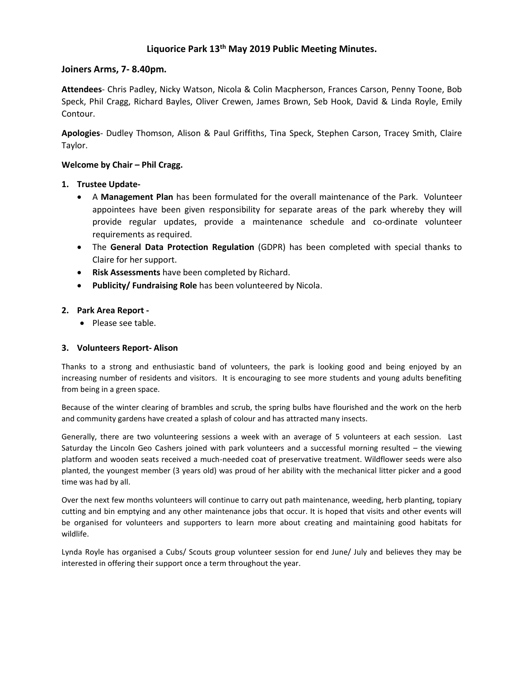# **Liquorice Park 13th May 2019 Public Meeting Minutes.**

## **Joiners Arms, 7- 8.40pm.**

**Attendees**- Chris Padley, Nicky Watson, Nicola & Colin Macpherson, Frances Carson, Penny Toone, Bob Speck, Phil Cragg, Richard Bayles, Oliver Crewen, James Brown, Seb Hook, David & Linda Royle, Emily Contour.

**Apologies**- Dudley Thomson, Alison & Paul Griffiths, Tina Speck, Stephen Carson, Tracey Smith, Claire Taylor.

## **Welcome by Chair – Phil Cragg.**

## **1. Trustee Update-**

- A **Management Plan** has been formulated for the overall maintenance of the Park. Volunteer appointees have been given responsibility for separate areas of the park whereby they will provide regular updates, provide a maintenance schedule and co-ordinate volunteer requirements as required.
- The **General Data Protection Regulation** (GDPR) has been completed with special thanks to Claire for her support.
- **Risk Assessments** have been completed by Richard.
- **Publicity/ Fundraising Role** has been volunteered by Nicola.

## **2. Park Area Report -**

• Please see table.

## **3. Volunteers Report- Alison**

Thanks to a strong and enthusiastic band of volunteers, the park is looking good and being enjoyed by an increasing number of residents and visitors. It is encouraging to see more students and young adults benefiting from being in a green space.

Because of the winter clearing of brambles and scrub, the spring bulbs have flourished and the work on the herb and community gardens have created a splash of colour and has attracted many insects.

Generally, there are two volunteering sessions a week with an average of 5 volunteers at each session. Last Saturday the Lincoln Geo Cashers joined with park volunteers and a successful morning resulted – the viewing platform and wooden seats received a much-needed coat of preservative treatment. Wildflower seeds were also planted, the youngest member (3 years old) was proud of her ability with the mechanical litter picker and a good time was had by all.

Over the next few months volunteers will continue to carry out path maintenance, weeding, herb planting, topiary cutting and bin emptying and any other maintenance jobs that occur. It is hoped that visits and other events will be organised for volunteers and supporters to learn more about creating and maintaining good habitats for wildlife.

Lynda Royle has organised a Cubs/ Scouts group volunteer session for end June/ July and believes they may be interested in offering their support once a term throughout the year.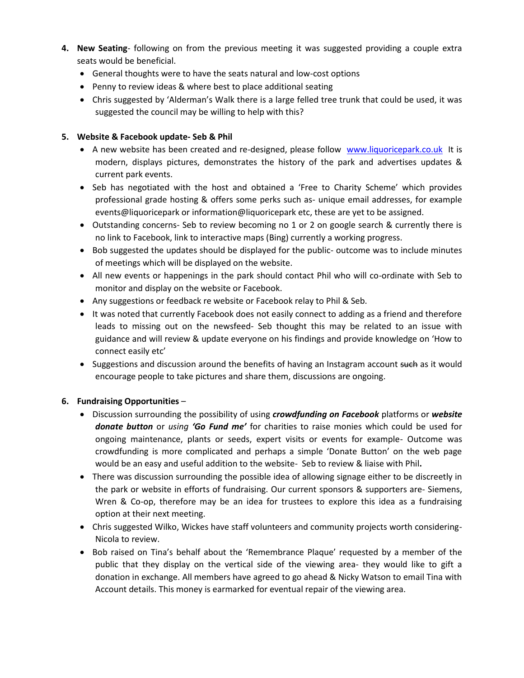- **4. New Seating** following on from the previous meeting it was suggested providing a couple extra seats would be beneficial.
	- General thoughts were to have the seats natural and low-cost options
	- Penny to review ideas & where best to place additional seating
	- Chris suggested by 'Alderman's Walk there is a large felled tree trunk that could be used, it was suggested the council may be willing to help with this?

# **5. Website & Facebook update- Seb & Phil**

- A new website has been created and re-designed, please follow [www.liquoricepark.co.uk](http://www.liquoricepark.co.uk/) It is modern, displays pictures, demonstrates the history of the park and advertises updates & current park events.
- Seb has negotiated with the host and obtained a 'Free to Charity Scheme' which provides professional grade hosting & offers some perks such as- unique email addresses, for example events@liquoricepark or information@liquoricepark etc, these are yet to be assigned.
- Outstanding concerns- Seb to review becoming no 1 or 2 on google search & currently there is no link to Facebook, link to interactive maps (Bing) currently a working progress.
- Bob suggested the updates should be displayed for the public- outcome was to include minutes of meetings which will be displayed on the website.
- All new events or happenings in the park should contact Phil who will co-ordinate with Seb to monitor and display on the website or Facebook.
- Any suggestions or feedback re website or Facebook relay to Phil & Seb.
- It was noted that currently Facebook does not easily connect to adding as a friend and therefore leads to missing out on the newsfeed- Seb thought this may be related to an issue with guidance and will review & update everyone on his findings and provide knowledge on 'How to connect easily etc'
- Suggestions and discussion around the benefits of having an Instagram account such as it would encourage people to take pictures and share them, discussions are ongoing.

# **6. Fundraising Opportunities** –

- Discussion surrounding the possibility of using *crowdfunding on Facebook* platforms or *website donate button* or *using 'Go Fund me'* for charities to raise monies which could be used for ongoing maintenance, plants or seeds, expert visits or events for example- Outcome was crowdfunding is more complicated and perhaps a simple 'Donate Button' on the web page would be an easy and useful addition to the website- Seb to review & liaise with Phil**.**
- There was discussion surrounding the possible idea of allowing signage either to be discreetly in the park or website in efforts of fundraising. Our current sponsors & supporters are- Siemens, Wren & Co-op, therefore may be an idea for trustees to explore this idea as a fundraising option at their next meeting.
- Chris suggested Wilko, Wickes have staff volunteers and community projects worth considering-Nicola to review.
- Bob raised on Tina's behalf about the 'Remembrance Plaque' requested by a member of the public that they display on the vertical side of the viewing area- they would like to gift a donation in exchange. All members have agreed to go ahead & Nicky Watson to email Tina with Account details. This money is earmarked for eventual repair of the viewing area.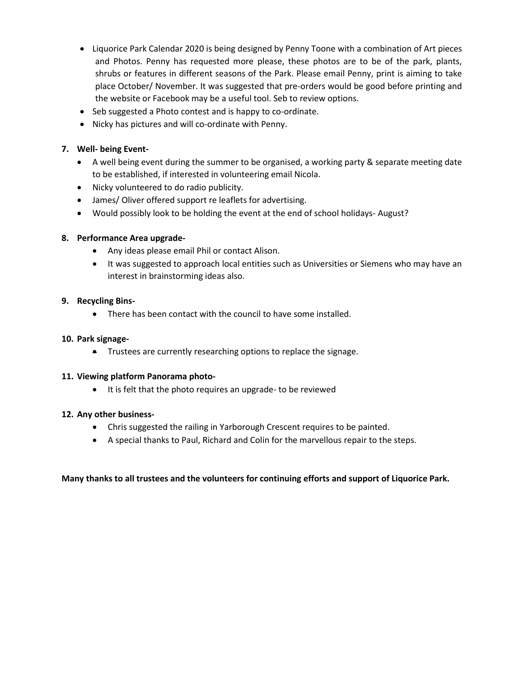- Liquorice Park Calendar 2020 is being designed by Penny Toone with a combination of Art pieces and Photos. Penny has requested more please, these photos are to be of the park, plants, shrubs or features in different seasons of the Park. Please email Penny, print is aiming to take place October/ November. It was suggested that pre-orders would be good before printing and the website or Facebook may be a useful tool. Seb to review options.
- Seb suggested a Photo contest and is happy to co-ordinate.
- Nicky has pictures and will co-ordinate with Penny.

## **7. Well- being Event-**

- A well being event during the summer to be organised, a working party & separate meeting date to be established, if interested in volunteering email Nicola.
- Nicky volunteered to do radio publicity.
- James/ Oliver offered support re leaflets for advertising.
- Would possibly look to be holding the event at the end of school holidays- August?

## **8. Performance Area upgrade-**

- Any ideas please email Phil or contact Alison.
- It was suggested to approach local entities such as Universities or Siemens who may have an interest in brainstorming ideas also.

## **9. Recycling Bins-**

• There has been contact with the council to have some installed.

## **10. Park signage-**

• Trustees are currently researching options to replace the signage.

## **11. Viewing platform Panorama photo-**

• It is felt that the photo requires an upgrade- to be reviewed

## **12. Any other business-**

- Chris suggested the railing in Yarborough Crescent requires to be painted.
- A special thanks to Paul, Richard and Colin for the marvellous repair to the steps.

# **Many thanks to all trustees and the volunteers for continuing efforts and support of Liquorice Park.**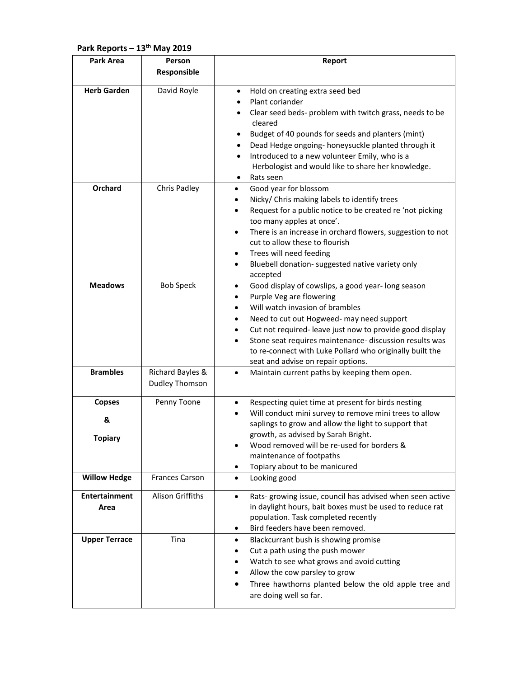# **Park Reports – 13th May 2019**

| Park Area                            | Person                             | Report                                                                                                                                                                                                                                                                                                                                                                                                                                                      |
|--------------------------------------|------------------------------------|-------------------------------------------------------------------------------------------------------------------------------------------------------------------------------------------------------------------------------------------------------------------------------------------------------------------------------------------------------------------------------------------------------------------------------------------------------------|
|                                      | Responsible                        |                                                                                                                                                                                                                                                                                                                                                                                                                                                             |
| <b>Herb Garden</b>                   | David Royle                        | Hold on creating extra seed bed<br>$\bullet$<br>Plant coriander<br>$\bullet$<br>Clear seed beds- problem with twitch grass, needs to be<br>cleared<br>Budget of 40 pounds for seeds and planters (mint)<br>Dead Hedge ongoing- honeysuckle planted through it<br>Introduced to a new volunteer Emily, who is a<br>$\bullet$<br>Herbologist and would like to share her knowledge.<br>Rats seen                                                              |
| <b>Orchard</b>                       | Chris Padley                       | Good year for blossom<br>$\bullet$<br>Nicky/ Chris making labels to identify trees<br>٠<br>Request for a public notice to be created re 'not picking<br>too many apples at once'.<br>There is an increase in orchard flowers, suggestion to not<br>$\bullet$<br>cut to allow these to flourish<br>Trees will need feeding<br>٠<br>Bluebell donation- suggested native variety only<br>$\bullet$<br>accepted                                                 |
| <b>Meadows</b>                       | <b>Bob Speck</b>                   | Good display of cowslips, a good year-long season<br>$\bullet$<br>Purple Veg are flowering<br>٠<br>Will watch invasion of brambles<br>$\bullet$<br>Need to cut out Hogweed- may need support<br>$\bullet$<br>Cut not required-leave just now to provide good display<br>$\bullet$<br>Stone seat requires maintenance- discussion results was<br>$\bullet$<br>to re-connect with Luke Pollard who originally built the<br>seat and advise on repair options. |
| <b>Brambles</b>                      | Richard Bayles &<br>Dudley Thomson | Maintain current paths by keeping them open.<br>$\bullet$                                                                                                                                                                                                                                                                                                                                                                                                   |
| <b>Copses</b><br>&<br><b>Topiary</b> | Penny Toone                        | Respecting quiet time at present for birds nesting<br>٠<br>Will conduct mini survey to remove mini trees to allow<br>saplings to grow and allow the light to support that<br>growth, as advised by Sarah Bright.<br>Wood removed will be re-used for borders &<br>maintenance of footpaths<br>Topiary about to be manicured<br>٠                                                                                                                            |
| <b>Willow Hedge</b>                  | <b>Frances Carson</b>              | Looking good<br>$\bullet$                                                                                                                                                                                                                                                                                                                                                                                                                                   |
| <b>Entertainment</b><br>Area         | Alison Griffiths                   | Rats- growing issue, council has advised when seen active<br>$\bullet$<br>in daylight hours, bait boxes must be used to reduce rat<br>population. Task completed recently<br>Bird feeders have been removed.<br>٠                                                                                                                                                                                                                                           |
| <b>Upper Terrace</b>                 | Tina                               | Blackcurrant bush is showing promise<br>$\bullet$<br>Cut a path using the push mower<br>Watch to see what grows and avoid cutting<br>Allow the cow parsley to grow<br>Three hawthorns planted below the old apple tree and<br>are doing well so far.                                                                                                                                                                                                        |